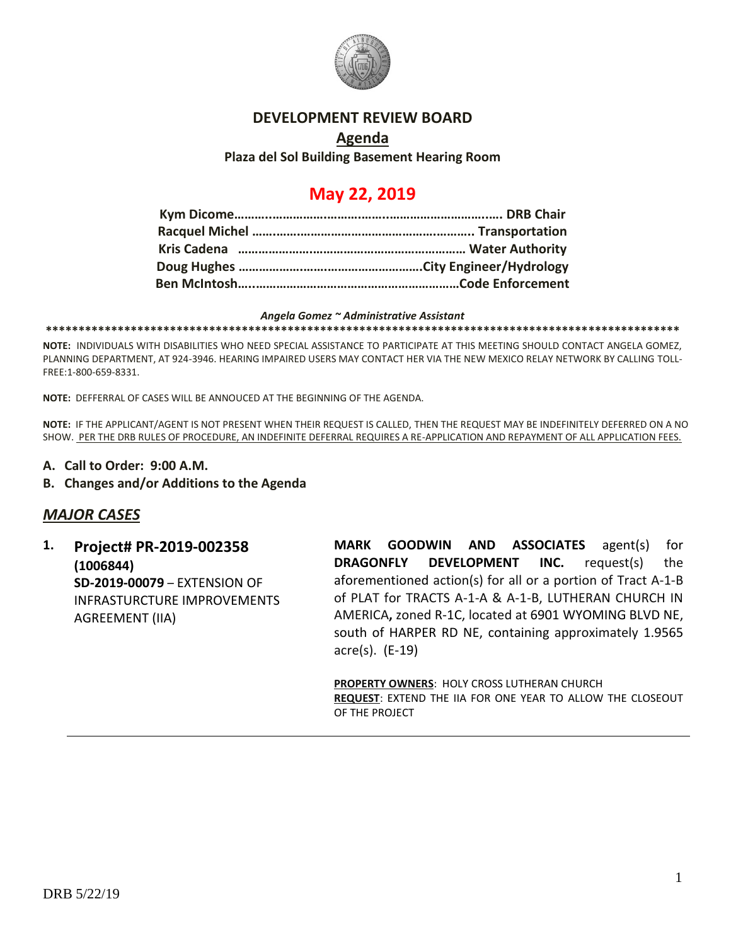

#### **DEVELOPMENT REVIEW BOARD**

## **Agenda Plaza del Sol Building Basement Hearing Room**

# **May 22, 2019**

#### *Angela Gomez ~ Administrative Assistant*

**\*\*\*\*\*\*\*\*\*\*\*\*\*\*\*\*\*\*\*\*\*\*\*\*\*\*\*\*\*\*\*\*\*\*\*\*\*\*\*\*\*\*\*\*\*\*\*\*\*\*\*\*\*\*\*\*\*\*\*\*\*\*\*\*\*\*\*\*\*\*\*\*\*\*\*\*\*\*\*\*\*\*\*\*\*\*\*\*\*\*\*\*\*\*\*\*\***

**NOTE:** INDIVIDUALS WITH DISABILITIES WHO NEED SPECIAL ASSISTANCE TO PARTICIPATE AT THIS MEETING SHOULD CONTACT ANGELA GOMEZ, PLANNING DEPARTMENT, AT 924-3946. HEARING IMPAIRED USERS MAY CONTACT HER VIA THE NEW MEXICO RELAY NETWORK BY CALLING TOLL-FREE:1-800-659-8331.

**NOTE:** DEFFERRAL OF CASES WILL BE ANNOUCED AT THE BEGINNING OF THE AGENDA.

**NOTE:** IF THE APPLICANT/AGENT IS NOT PRESENT WHEN THEIR REQUEST IS CALLED, THEN THE REQUEST MAY BE INDEFINITELY DEFERRED ON A NO SHOW. PER THE DRB RULES OF PROCEDURE, AN INDEFINITE DEFERRAL REQUIRES A RE-APPLICATION AND REPAYMENT OF ALL APPLICATION FEES.

- **A. Call to Order: 9:00 A.M.**
- **B. Changes and/or Additions to the Agenda**

## *MAJOR CASES*

**1. Project# PR-2019-002358 (1006844) SD-2019-00079** – EXTENSION OF INFRASTURCTURE IMPROVEMENTS AGREEMENT (IIA)

**MARK GOODWIN AND ASSOCIATES** agent(s) for **DRAGONFLY DEVELOPMENT INC.** request(s) the aforementioned action(s) for all or a portion of Tract A-1-B of PLAT for TRACTS A-1-A & A-1-B, LUTHERAN CHURCH IN AMERICA**,** zoned R-1C, located at 6901 WYOMING BLVD NE, south of HARPER RD NE, containing approximately 1.9565 acre(s). (E-19)

**PROPERTY OWNERS**: HOLY CROSS LUTHERAN CHURCH **REQUEST**: EXTEND THE IIA FOR ONE YEAR TO ALLOW THE CLOSEOUT OF THE PROJECT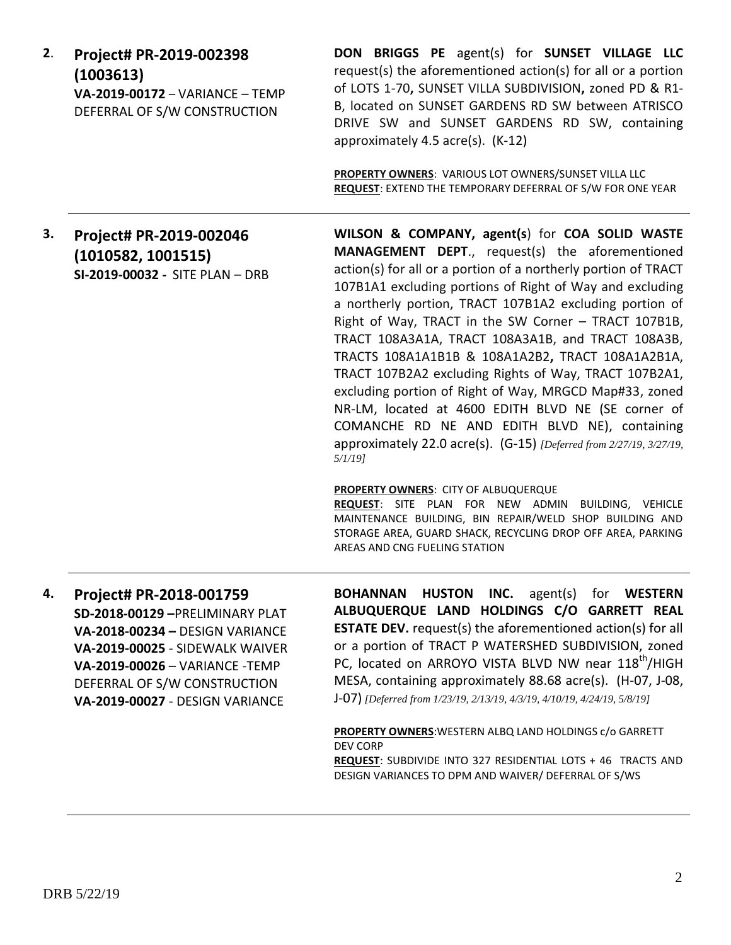| 2. | Project# PR-2019-002398                                                      | <b>DON BRIGGS</b> |
|----|------------------------------------------------------------------------------|-------------------|
|    | (1003613)<br>VA-2019-00172 - VARIANCE - TEMP<br>DEFERRAL OF S/W CONSTRUCTION | request(s) the af |
|    |                                                                              | of LOTS 1-70, SU  |
|    |                                                                              | B, located on SU  |
|    |                                                                              | DRIVE SW and      |
|    |                                                                              | annrovimatoly 1   |

PE agent(s) for **SUNSET VILLAGE LLC** orementioned action(s) for all or a portion of LOTS 1-70**,** SUNSET VILLA SUBDIVISION**,** zoned PD & R1- INSET GARDENS RD SW between ATRISCO SUNSET GARDENS RD SW, containing approximately 4.5 acre(s). (K-12)

**PROPERTY OWNERS**: VARIOUS LOT OWNERS/SUNSET VILLA LLC **REQUEST**: EXTEND THE TEMPORARY DEFERRAL OF S/W FOR ONE YEAR

**3. Project# PR-2019-002046 (1010582, 1001515) SI-2019-00032 -** SITE PLAN – DRB **WILSON & COMPANY, agent(s**) for **COA SOLID WASTE MANAGEMENT DEPT**., request(s) the aforementioned action(s) for all or a portion of a northerly portion of TRACT 107B1A1 excluding portions of Right of Way and excluding a northerly portion, TRACT 107B1A2 excluding portion of Right of Way, TRACT in the SW Corner – TRACT 107B1B, TRACT 108A3A1A, TRACT 108A3A1B, and TRACT 108A3B, TRACTS 108A1A1B1B & 108A1A2B2**,** TRACT 108A1A2B1A, TRACT 107B2A2 excluding Rights of Way, TRACT 107B2A1, excluding portion of Right of Way, MRGCD Map#33, zoned NR-LM, located at 4600 EDITH BLVD NE (SE corner of COMANCHE RD NE AND EDITH BLVD NE), containing approximately 22.0 acre(s). (G-15) *[Deferred from 2/27/19, 3/27/19, 5/1/19]*

**PROPERTY OWNERS**: CITY OF ALBUQUERQUE

**REQUEST**: SITE PLAN FOR NEW ADMIN BUILDING, VEHICLE MAINTENANCE BUILDING, BIN REPAIR/WELD SHOP BUILDING AND STORAGE AREA, GUARD SHACK, RECYCLING DROP OFF AREA, PARKING AREAS AND CNG FUELING STATION

**4. Project# PR-2018-001759 SD-2018-00129 –**PRELIMINARY PLAT **VA-2018-00234 –** DESIGN VARIANCE **VA-2019-00025** - SIDEWALK WAIVER **VA-2019-00026** – VARIANCE -TEMP DEFERRAL OF S/W CONSTRUCTION **VA-2019-00027** - DESIGN VARIANCE

**BOHANNAN HUSTON INC.** agent(s) for **WESTERN ALBUQUERQUE LAND HOLDINGS C/O GARRETT REAL ESTATE DEV.** request(s) the aforementioned action(s) for all or a portion of TRACT P WATERSHED SUBDIVISION, zoned PC, located on ARROYO VISTA BLVD NW near 118<sup>th</sup>/HIGH MESA, containing approximately 88.68 acre(s). (H-07, J-08, J-07) *[Deferred from 1/23/19, 2/13/19, 4/3/19, 4/10/19, 4/24/19, 5/8/19]*

**PROPERTY OWNERS**:WESTERN ALBQ LAND HOLDINGS c/o GARRETT DEV CORP **REQUEST**: SUBDIVIDE INTO 327 RESIDENTIAL LOTS + 46 TRACTS AND DESIGN VARIANCES TO DPM AND WAIVER/ DEFERRAL OF S/WS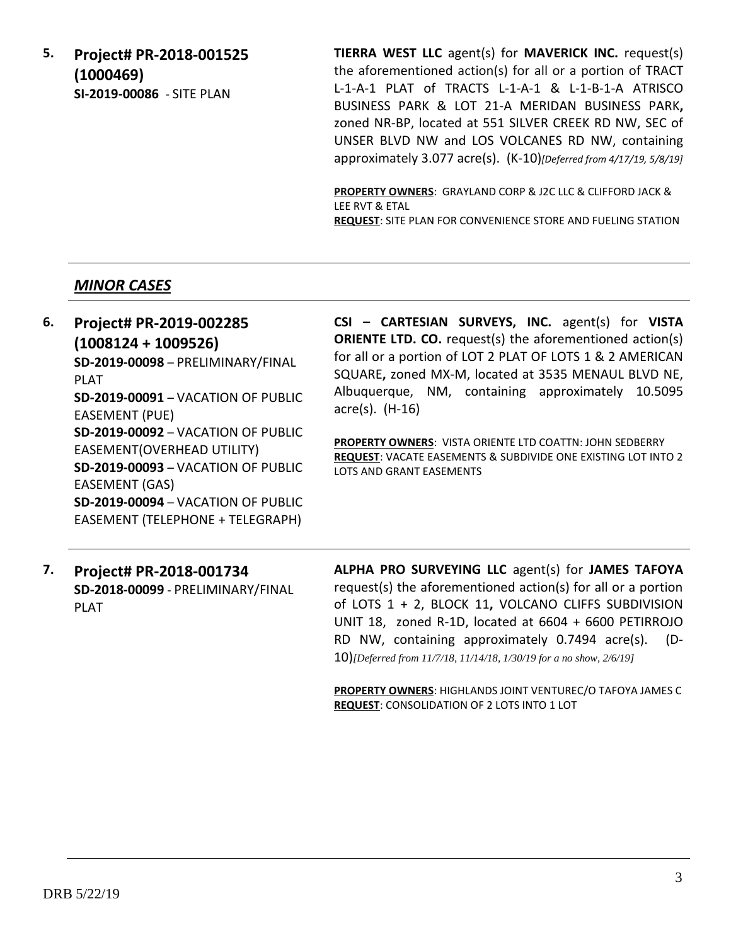**5. Project# PR-2018-001525 (1000469) SI-2019-00086** - SITE PLAN

**TIERRA WEST LLC** agent(s) for **MAVERICK INC.** request(s) the aforementioned action(s) for all or a portion of TRACT L-1-A-1 PLAT of TRACTS L-1-A-1 & L-1-B-1-A ATRISCO BUSINESS PARK & LOT 21-A MERIDAN BUSINESS PARK**,**  zoned NR-BP, located at 551 SILVER CREEK RD NW, SEC of UNSER BLVD NW and LOS VOLCANES RD NW, containing approximately 3.077 acre(s). (K-10)*[Deferred from 4/17/19, 5/8/19]*

**PROPERTY OWNERS**: GRAYLAND CORP & J2C LLC & CLIFFORD JACK & LEE RVT & ETAL **REQUEST**: SITE PLAN FOR CONVENIENCE STORE AND FUELING STATION

## *MINOR CASES*

EASEMENT (GAS)

#### **6. Project# PR-2019-002285 (1008124 + 1009526) SD-2019-00098** – PRELIMINARY/FINAL PLAT **SD-2019-00091** – VACATION OF PUBLIC EASEMENT (PUE) **SD-2019-00092** – VACATION OF PUBLIC EASEMENT(OVERHEAD UTILITY) **SD-2019-00093** – VACATION OF PUBLIC **CSI – CARTESIAN SURVEYS, INC.** agent(s) for **VISTA ORIENTE LTD. CO.** request(s) the aforementioned action(s) for all or a portion of LOT 2 PLAT OF LOTS 1 & 2 AMERICAN SQUARE**,** zoned MX-M, located at 3535 MENAUL BLVD NE, Albuquerque, NM, containing approximately 10.5095 acre(s). (H-16) **PROPERTY OWNERS**: VISTA ORIENTE LTD COATTN: JOHN SEDBERRY **REQUEST**: VACATE EASEMENTS & SUBDIVIDE ONE EXISTING LOT INTO 2 LOTS AND GRANT EASEMENTS

**7. Project# PR-2018-001734 SD-2018-00099** - PRELIMINARY/FINAL PLAT

**SD-2019-00094** – VACATION OF PUBLIC EASEMENT (TELEPHONE + TELEGRAPH)

> **ALPHA PRO SURVEYING LLC** agent(s) for **JAMES TAFOYA** request(s) the aforementioned action(s) for all or a portion of LOTS 1 + 2, BLOCK 11**,** VOLCANO CLIFFS SUBDIVISION UNIT 18, zoned R-1D, located at 6604 + 6600 PETIRROJO RD NW, containing approximately 0.7494 acre(s). (D-10)*[Deferred from 11/7/18, 11/14/18, 1/30/19 for a no show, 2/6/19]*

> **PROPERTY OWNERS**: HIGHLANDS JOINT VENTUREC/O TAFOYA JAMES C **REQUEST**: CONSOLIDATION OF 2 LOTS INTO 1 LOT